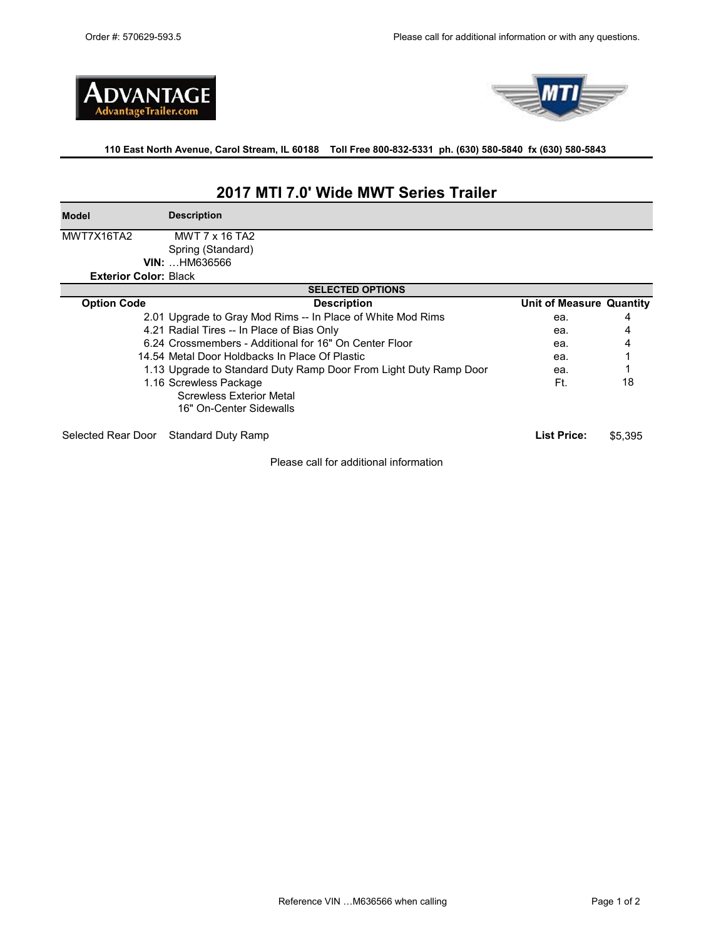



**110 East North Avenue, Carol Stream, IL 60188 Toll Free 800-832-5331 ph. (630) 580-5840 fx (630) 580-5843** 

# **2017 MTI 7.0' Wide MWT Series Trailer**

**Model Description**

MWT7X16TA2 Spring (Standard) MWT 7 x 16 TA2

| Spring (Standal      |  |
|----------------------|--|
| <b>VIN: HM636566</b> |  |

**Exterior Color:** Black

| <b>SELECTED OPTIONS</b> |                                                                   |                          |         |  |  |
|-------------------------|-------------------------------------------------------------------|--------------------------|---------|--|--|
| <b>Option Code</b>      | <b>Description</b>                                                | Unit of Measure Quantity |         |  |  |
|                         | 2.01 Upgrade to Gray Mod Rims -- In Place of White Mod Rims       | ea.                      | 4       |  |  |
|                         | 4.21 Radial Tires -- In Place of Bias Only                        | ea.                      | 4       |  |  |
|                         | 6.24 Crossmembers - Additional for 16" On Center Floor            | ea.                      |         |  |  |
|                         | 14.54 Metal Door Holdbacks In Place Of Plastic                    | ea.                      |         |  |  |
|                         | 1.13 Upgrade to Standard Duty Ramp Door From Light Duty Ramp Door | ea.                      |         |  |  |
|                         | 1.16 Screwless Package                                            | Ft.                      | 18      |  |  |
|                         | <b>Screwless Exterior Metal</b>                                   |                          |         |  |  |
|                         | 16" On-Center Sidewalls                                           |                          |         |  |  |
| Selected Rear Door      | <b>Standard Duty Ramp</b>                                         | List Price:              | \$5.395 |  |  |

Please call for additional information